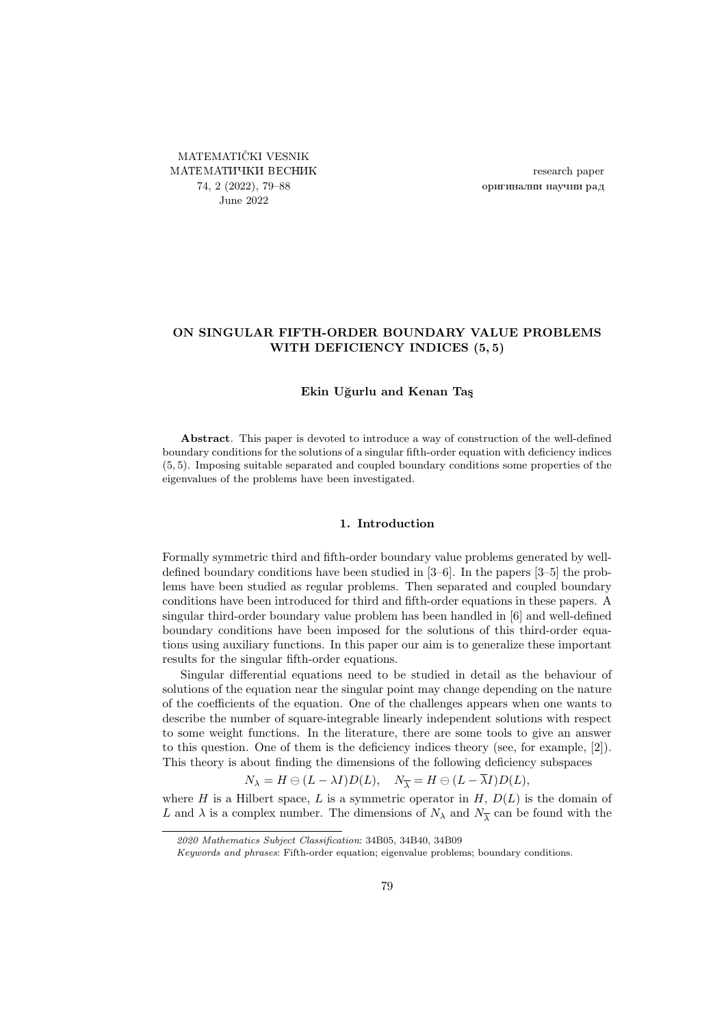<span id="page-0-0"></span>MATEMATIČKI VESNIK МАТЕМАТИЧКИ ВЕСНИК 74, 2 (2022), [79–](#page-0-0)[88](#page-9-0) June 2022

research paper оригинални научни рад

# ON SINGULAR FIFTH-ORDER BOUNDARY VALUE PROBLEMS WITH DEFICIENCY INDICES (5, 5)

### Ekin Uğurlu and Kenan Taş

Abstract. This paper is devoted to introduce a way of construction of the well-defined boundary conditions for the solutions of a singular fifth-order equation with deficiency indices (5, 5). Imposing suitable separated and coupled boundary conditions some properties of the eigenvalues of the problems have been investigated.

#### 1. Introduction

Formally symmetric third and fifth-order boundary value problems generated by welldefined boundary conditions have been studied in [\[3–](#page-9-1)[6\]](#page-9-2). In the papers [\[3–](#page-9-1)[5\]](#page-9-3) the problems have been studied as regular problems. Then separated and coupled boundary conditions have been introduced for third and fifth-order equations in these papers. A singular third-order boundary value problem has been handled in [\[6\]](#page-9-2) and well-defined boundary conditions have been imposed for the solutions of this third-order equations using auxiliary functions. In this paper our aim is to generalize these important results for the singular fifth-order equations.

Singular differential equations need to be studied in detail as the behaviour of solutions of the equation near the singular point may change depending on the nature of the coefficients of the equation. One of the challenges appears when one wants to describe the number of square-integrable linearly independent solutions with respect to some weight functions. In the literature, there are some tools to give an answer to this question. One of them is the deficiency indices theory (see, for example, [\[2\]](#page-9-4)). This theory is about finding the dimensions of the following deficiency subspaces

 $N_{\lambda} = H \ominus (L - \lambda I)D(L), \quad N_{\overline{\lambda}} = H \ominus (L - \overline{\lambda}I)D(L),$ 

where H is a Hilbert space, L is a symmetric operator in  $H, D(L)$  is the domain of L and  $\lambda$  is a complex number. The dimensions of  $N_{\lambda}$  and  $N_{\overline{\lambda}}$  can be found with the

<sup>2020</sup> Mathematics Subject Classification: 34B05, 34B40, 34B09

Keywords and phrases: Fifth-order equation; eigenvalue problems; boundary conditions.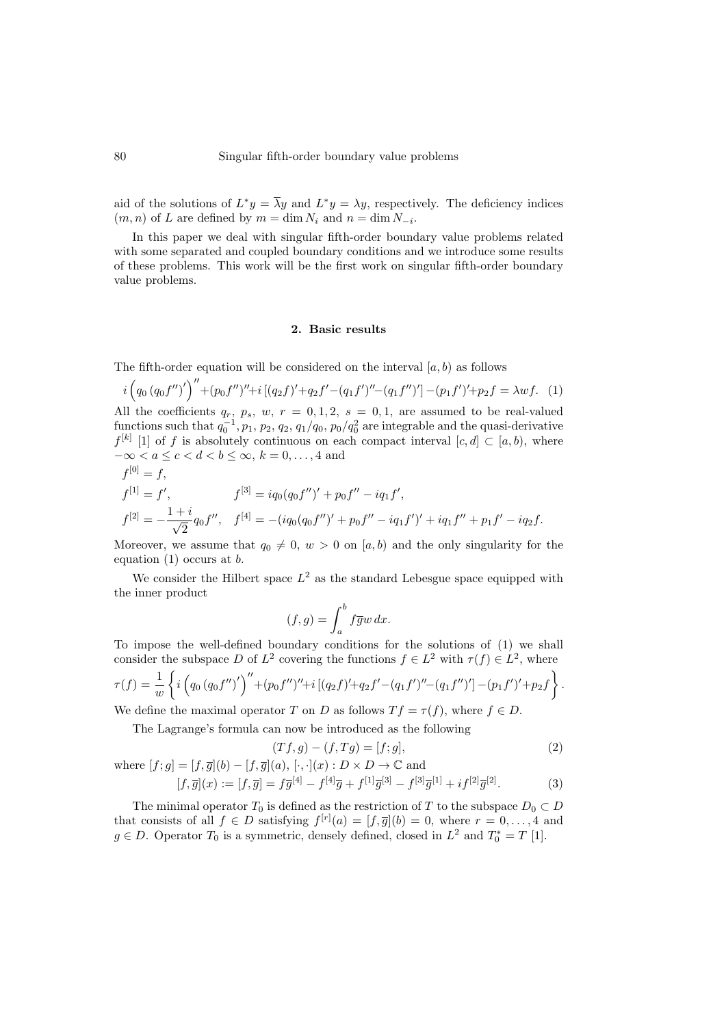aid of the solutions of  $L^*y = \overline{\lambda}y$  and  $L^*y = \lambda y$ , respectively. The deficiency indices  $(m, n)$  of L are defined by  $m = \dim N_i$  and  $n = \dim N_{-i}$ .

In this paper we deal with singular fifth-order boundary value problems related with some separated and coupled boundary conditions and we introduce some results of these problems. This work will be the first work on singular fifth-order boundary value problems.

### <span id="page-1-0"></span>2. Basic results

The fifth-order equation will be considered on the interval  $[a, b)$  as follows

$$
i\left(q_0\left(q_0f''\right)'\right)'' + \left(p_0f''\right)'' + i\left[(q_2f)' + q_2f' - (q_1f')'' - (q_1f'')'\right] - (p_1f')' + p_2f = \lambda wf.
$$
 (1)  
\nAll the coefficients  $q_r$ ,  $p_s$ ,  $w$ ,  $r = 0, 1, 2$ ,  $s = 0, 1$ , are assumed to be real-valued  
\nfunctions such that  $q_0^{-1}$ ,  $p_1$ ,  $p_2$ ,  $q_2$ ,  $q_1/q_0$ ,  $p_0/q_0^2$  are integrable and the quasi-derivative  
\n $f^{[k]}$  [1] of  $f$  is absolutely continuous on each compact interval  $[c, d] \subset [a, b)$ , where  
\n $-\infty < a \leq c < d < b \leq \infty$ ,  $k = 0, \ldots, 4$  and

$$
f^{[0]} = f,
$$
  
\n
$$
f^{[1]} = f', \qquad f^{[3]} = iq_0(q_0 f'')' + p_0 f'' - iq_1 f',
$$
  
\n
$$
f^{[2]} = -\frac{1+i}{\sqrt{2}} q_0 f'', \quad f^{[4]} = -(iq_0(q_0 f'')' + p_0 f'' - iq_1 f')' + iq_1 f'' + p_1 f' - iq_2 f.
$$

Moreover, we assume that  $q_0 \neq 0$ ,  $w > 0$  on [a, b) and the only singularity for the equation  $(1)$  occurs at b.

We consider the Hilbert space  $L^2$  as the standard Lebesgue space equipped with the inner product

<span id="page-1-2"></span><span id="page-1-1"></span>
$$
(f,g) = \int_a^b f \overline{g} w \, dx.
$$

To impose the well-defined boundary conditions for the solutions of [\(1\)](#page-1-0) we shall consider the subspace D of  $L^2$  covering the functions  $f \in L^2$  with  $\tau(f) \in L^2$ , where

$$
\tau(f) = \frac{1}{w} \left\{ i \left( q_0 \left( q_0 f'' \right)' \right)'' + (p_0 f'')'' + i \left[ \left( q_2 f \right)' + q_2 f' - \left( q_1 f' \right)'' - \left( q_1 f'' \right)' \right] - (p_1 f')' + p_2 f \right\} \right\}.
$$

We define the maximal operator T on D as follows  $Tf = \tau(f)$ , where  $f \in D$ .

The Lagrange's formula can now be introduced as the following

$$
(Tf, g) - (f, Tg) = [f; g],
$$
  
(2)  

$$
[f, \overline{g}](a), [\cdot, \cdot](x) : D \times D \to \mathbb{C} \text{ and}
$$

where 
$$
[f; g] = [f, \overline{g}](b) - [f, \overline{g}](a), [\cdot, \cdot](x) : D \times D \to \mathbb{C}
$$
 and  
\n
$$
[f, \overline{g}](x) := [f, \overline{g}] = f\overline{g}^{[4]} - f^{[4]}\overline{g} + f^{[1]}\overline{g}^{[3]} - f^{[3]}\overline{g}^{[1]} + i f^{[2]}\overline{g}^{[2]}.
$$
\n(3)

The minimal operator  $T_0$  is defined as the restriction of T to the subspace  $D_0 \subset D$ that consists of all  $f \in D$  satisfying  $f^{[r]}(a) = [f, \overline{g}](b) = 0$ , where  $r = 0, \ldots, 4$  and  $g \in D$ . Operator  $T_0$  is a symmetric, densely defined, closed in  $L^2$  and  $T_0^* = T$  [\[1\]](#page-9-5).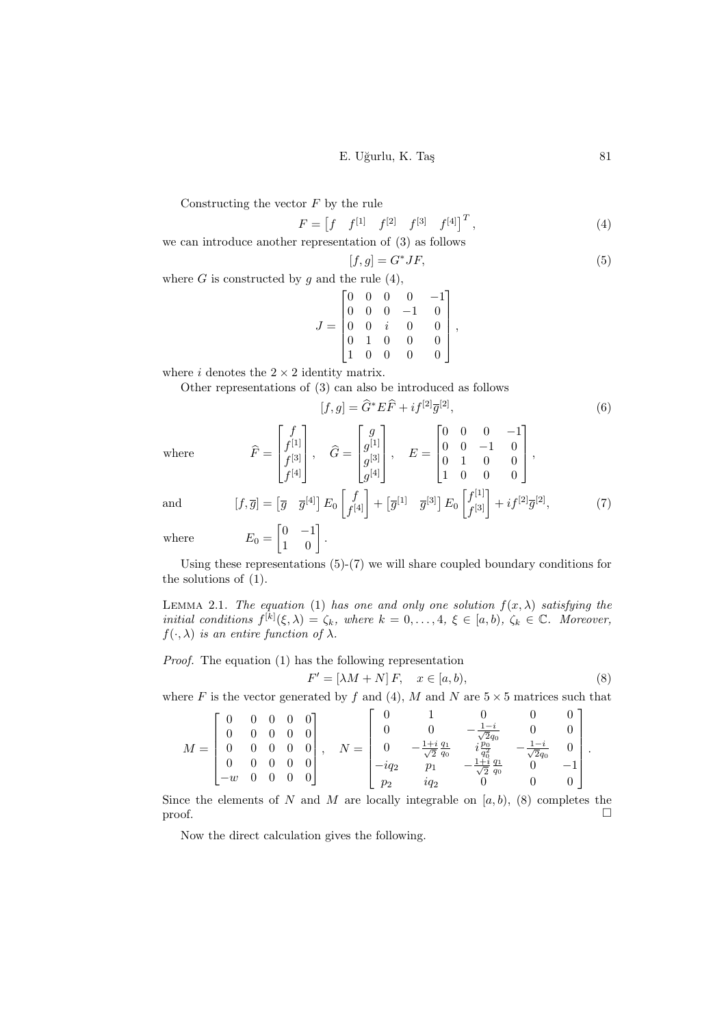E. Uğurlu, K. Taş 81

Constructing the vector  $F$  by the rule

$$
F = \begin{bmatrix} f & f^{[1]} & f^{[2]} & f^{[3]} & f^{[4]} \end{bmatrix}^T, \tag{4}
$$

we can introduce another representation of [\(3\)](#page-1-1) as follows

<span id="page-2-1"></span><span id="page-2-0"></span>
$$
[f,g] = G^* J F,\tag{5}
$$

where  $G$  is constructed by  $g$  and the rule  $(4)$ ,

$$
J = \begin{bmatrix} 0 & 0 & 0 & 0 & -1 \\ 0 & 0 & 0 & -1 & 0 \\ 0 & 0 & i & 0 & 0 \\ 0 & 1 & 0 & 0 & 0 \\ 1 & 0 & 0 & 0 & 0 \end{bmatrix},
$$

where  $i$  denotes the  $2 \times 2$  identity matrix.

Other representations of [\(3\)](#page-1-1) can also be introduced as follows

<span id="page-2-2"></span>
$$
[f, g] = \hat{G}^* E \hat{F} + i f^{[2]} \overline{g}^{[2]}, \tag{6}
$$

where  $\qquad \qquad \widehat{F}$ 

$$
E = \begin{bmatrix} f \\ f^{[1]} \\ f^{[3]} \\ f^{[4]} \end{bmatrix}, \quad \widehat{G} = \begin{bmatrix} g \\ g^{[1]} \\ g^{[3]} \\ g^{[4]} \end{bmatrix}, \quad E = \begin{bmatrix} 0 & 0 & 0 & -1 \\ 0 & 0 & -1 & 0 \\ 0 & 1 & 0 & 0 \\ 1 & 0 & 0 & 0 \end{bmatrix},
$$

$$
= \begin{bmatrix} \overline{g} & \overline{g}^{[4]} \end{bmatrix} E_0 \begin{bmatrix} f \\ f^{[4]} \end{bmatrix} + \begin{bmatrix} \overline{g}^{[1]} & \overline{g}^{[3]} \end{bmatrix} E_0 \begin{bmatrix} f^{[1]} \\ f^{[3]} \end{bmatrix} + i f^{[2]} \overline{g}^{[2]}, \tag{7}
$$

and

$$
[f,\overline{g}] = \begin{bmatrix} \overline{g} & \overline{g}^{[4]} \end{bmatrix} E_0 \begin{bmatrix} f_{[4]} \\ f^{[4]} \end{bmatrix} + \begin{bmatrix} \overline{g}^{[1]} & \overline{g}^{[3]} \end{bmatrix} E_0 \begin{bmatrix} f_{[3]} \\ f^{[3]} \end{bmatrix} + i f^{[2]}\overline{g}^{[2]},
$$

$$
E_0 = \begin{bmatrix} 0 & -1 \\ 1 & 0 \end{bmatrix}.
$$

where

Using these representations [\(5\)](#page-2-1)-[\(7\)](#page-2-2) we will share coupled boundary conditions for the solutions of [\(1\)](#page-1-0).

<span id="page-2-4"></span>LEMMA 2.1. The equation [\(1\)](#page-1-0) has one and only one solution  $f(x, \lambda)$  satisfying the initial conditions  $f^{[k]}(\xi,\lambda) = \zeta_k$ , where  $k = 0,\ldots,4$ ,  $\xi \in [a,b)$ ,  $\zeta_k \in \mathbb{C}$ . Moreover,  $f(\cdot, \lambda)$  is an entire function of  $\lambda$ .

Proof. The equation [\(1\)](#page-1-0) has the following representation F

<span id="page-2-3"></span>
$$
^{\prime} = \left[ \lambda M + N \right] F, \quad x \in [a, b), \tag{8}
$$

where F is the vector generated by f and [\(4\)](#page-2-0), M and N are  $5 \times 5$  matrices such that

$$
M = \begin{bmatrix} 0 & 0 & 0 & 0 & 0 \\ 0 & 0 & 0 & 0 & 0 \\ 0 & 0 & 0 & 0 & 0 \\ 0 & 0 & 0 & 0 & 0 \\ -w & 0 & 0 & 0 & 0 \end{bmatrix}, \quad N = \begin{bmatrix} 0 & 1 & 0 & 0 & 0 \\ 0 & 0 & -\frac{1+i}{\sqrt{2}}\frac{q_1}{q_0} & 0 & 0 \\ 0 & -\frac{1+i}{\sqrt{2}}\frac{q_1}{q_0} & i\frac{p_0}{q_0^2} & -\frac{1-i}{\sqrt{2}q_0} & 0 \\ -iq_2 & p_1 & -\frac{1+i}{\sqrt{2}}\frac{q_1}{q_0} & 0 & -1 \\ p_2 & iq_2 & 0 & 0 & 0 \end{bmatrix}.
$$

Since the elements of N and M are locally integrable on  $[a, b)$ , [\(8\)](#page-2-3) completes the proof.  $\Box$ 

Now the direct calculation gives the following.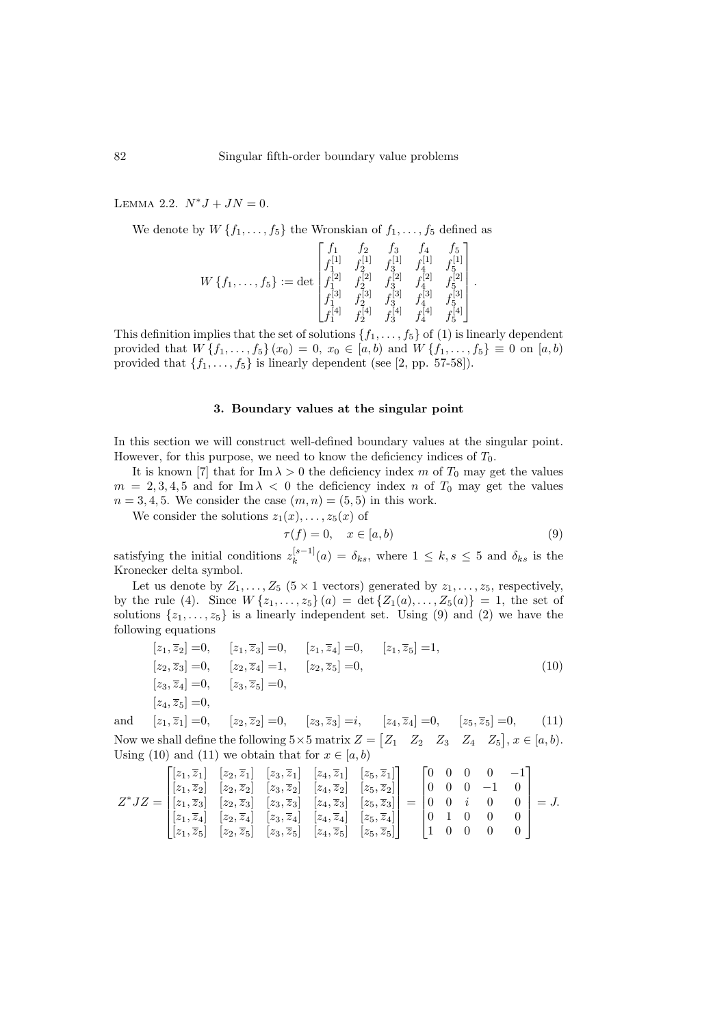<span id="page-3-3"></span>LEMMA 2.2.  $N^*J + JN = 0$ .

We denote by  $W\{f_1,\ldots,f_5\}$  the Wronskian of  $f_1,\ldots,f_5$  defined as

$$
W\left\{f_1,\ldots,f_5\right\} := \det \begin{bmatrix} f_1 & f_2 & f_3 & f_4 & f_5 \\ f_1^{[1]} & f_2^{[1]} & f_3^{[1]} & f_4^{[1]} & f_5^{[1]} \\ f_1^{[2]} & f_2^{[2]} & f_3^{[2]} & f_4^{[2]} & f_5^{[2]} \\ f_1^{[3]} & f_2^{[3]} & f_3^{[3]} & f_4^{[3]} & f_5^{[3]} \\ f_1^{[4]} & f_2^{[4]} & f_3^{[4]} & f_4^{[4]} & f_5^{[4]} \end{bmatrix}.
$$

This definition implies that the set of solutions  $\{f_1, \ldots, f_5\}$  of [\(1\)](#page-1-0) is linearly dependent provided that  $W\{f_1, \ldots, f_5\}(x_0) = 0, x_0 \in [a, b)$  and  $W\{f_1, \ldots, f_5\} \equiv 0$  on  $[a, b)$ provided that  $\{f_1, \ldots, f_5\}$  is linearly dependent (see [\[2,](#page-9-4) pp. 57-58]).

#### 3. Boundary values at the singular point

In this section we will construct well-defined boundary values at the singular point. However, for this purpose, we need to know the deficiency indices of  $T_0$ .

It is known [\[7\]](#page-9-6) that for Im  $\lambda > 0$  the deficiency index m of  $T_0$  may get the values  $m = 2, 3, 4, 5$  and for Im  $\lambda < 0$  the deficiency index n of  $T_0$  may get the values  $n = 3, 4, 5$ . We consider the case  $(m, n) = (5, 5)$  in this work.

We consider the solutions  $z_1(x), \ldots, z_5(x)$  of

<span id="page-3-2"></span><span id="page-3-1"></span><span id="page-3-0"></span>
$$
\tau(f) = 0, \quad x \in [a, b)
$$
\n<sup>(9)</sup>

satisfying the initial conditions  $z_k^{[s-1]}$  $\delta_k^{[s-1]}(a) = \delta_{ks}$ , where  $1 \leq k, s \leq 5$  and  $\delta_{ks}$  is the Kronecker delta symbol.

Let us denote by  $Z_1, \ldots, Z_5$  (5 × 1 vectors) generated by  $z_1, \ldots, z_5$ , respectively, by the rule [\(4\)](#page-2-0). Since  $W\{z_1,\ldots,z_5\}(a) = \det\{Z_1(a),\ldots,Z_5(a)\} = 1$ , the set of solutions  $\{z_1, \ldots, z_5\}$  is a linearly independent set. Using [\(9\)](#page-3-0) and [\(2\)](#page-1-2) we have the following equations

$$
[z_1, \overline{z}_2] = 0, \t [z_1, \overline{z}_3] = 0, \t [z_1, \overline{z}_4] = 0, \t [z_1, \overline{z}_5] = 1,
$$
  
\n
$$
[z_2, \overline{z}_3] = 0, \t [z_2, \overline{z}_4] = 1, \t [z_2, \overline{z}_5] = 0,
$$
  
\n
$$
[z_3, \overline{z}_4] = 0, \t [z_3, \overline{z}_5] = 0,
$$
  
\n
$$
[z_4, \overline{z}_5] = 0,
$$
  
\n
$$
[z_4, \overline{z}_1] = 0, \t [z_4, \overline{z}_2] = 0, \t [z_4, \overline{z}_3] = 0, \t [z_4, \overline{z}_4] = 0, \t [z_4, \overline{z}_5] = 0,
$$
  
\n
$$
[z_4, \overline{z}_5] = 0,
$$
  
\n
$$
[z_4, \overline{z}_5] = 0, \t [z_4, \overline{z}_6] = 0, \t [z_4, \overline{z}_7] = 0, \t [z_4, \overline{z}_8] = 0,
$$
  
\n
$$
[z_4, \overline{z}_9] = 0, \t [z_5, \overline{z}_1] = 0, \t [z_6, \overline{z}_2] = 0, \t [z_6, \overline{z}_3] = 0, \t [z_6, \overline{z}_3] = 0, \t [z_6, \overline{z}_4] = 0, \t [z_6, \overline{z}_5] = 0,
$$
  
\n
$$
[z_6, \overline{z}_1] = 0, \t [z_6, \overline{z}_2] = 0, \t [z_6, \overline{z}_3] = 0, \t [z_6, \overline{z}_4] = 0, \t [z_6, \overline{z}_5] = 0, \t [z_6, \overline{z}_6] = 0, \t [z_6, \overline{z}_7] = 0, \t [z_6, \overline{z}_8] = 0, \t [z_6, \overline{z}_9] = 0, \t [z_
$$

and  $[z_1, \overline{z}_1] = 0$ ,  $[z_2, \overline{z}_2] = 0$ ,  $[z_3, \overline{z}_3] = i$ ,  $[z_4, \overline{z}_4] = 0$ ,  $[z_5, \overline{z}_5] = 0$ , (11) Now we shall define the following  $5 \times 5$  matrix  $Z = \begin{bmatrix} Z_1 & Z_2 & Z_3 & Z_4 & Z_5 \end{bmatrix}$ ,  $x \in [a, b)$ . Using [\(10\)](#page-3-1) and [\(11\)](#page-3-2) we obtain that for  $x \in [a, b)$ 

$$
Z^*JZ = \begin{bmatrix} [z_1, \overline{z}_1] & [z_2, \overline{z}_1] & [z_3, \overline{z}_1] & [z_4, \overline{z}_1] & [z_5, \overline{z}_1] \\ [z_1, \overline{z}_2] & [z_2, \overline{z}_2] & [z_3, \overline{z}_2] & [z_4, \overline{z}_2] & [z_5, \overline{z}_2] \\ [z_1, \overline{z}_3] & [z_2, \overline{z}_3] & [z_3, \overline{z}_3] & [z_4, \overline{z}_3] & [z_5, \overline{z}_3] \\ [z_1, \overline{z}_4] & [z_2, \overline{z}_4] & [z_3, \overline{z}_4] & [z_4, \overline{z}_4] & [z_5, \overline{z}_4] \\ [z_1, \overline{z}_5] & [z_2, \overline{z}_5] & [z_3, \overline{z}_5] & [z_4, \overline{z}_5] & [z_5, \overline{z}_5] \end{bmatrix} = \begin{bmatrix} 0 & 0 & 0 & 0 & -1 \\ 0 & 0 & 0 & -1 & 0 \\ 0 & 0 & i & 0 & 0 \\ 0 & 1 & 0 & 0 & 0 \\ 0 & 1 & 0 & 0 & 0 \\ 1 & 0 & 0 & 0 & 0 \end{bmatrix} = J.
$$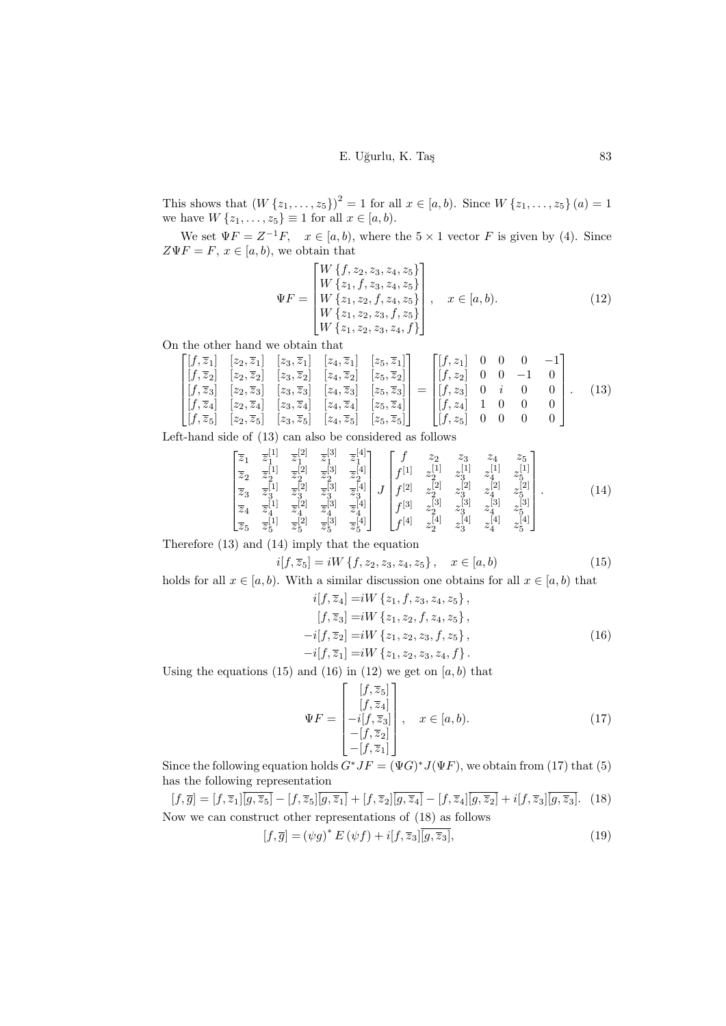## <span id="page-4-4"></span>E. Uğurlu, K. Taş 83

This shows that  $(W\{z_1,\ldots,z_5\})^2 = 1$  for all  $x \in [a,b)$ . Since  $W\{z_1,\ldots,z_5\}(a) = 1$ we have  $W\{z_1,\ldots,z_5\} \equiv 1$  for all  $x \in [a,b)$ .

We set  $\Psi F = Z^{-1}F$ ,  $x \in [a, b)$ , where the  $5 \times 1$  vector F is given by [\(4\)](#page-2-0). Since  $Z\Psi F = F, x \in [a, b),$  we obtain that

<span id="page-4-0"></span>
$$
\Psi F = \begin{bmatrix} W \{f, z_2, z_3, z_4, z_5\} \\ W \{z_1, f, z_3, z_4, z_5\} \\ W \{z_1, z_2, f, z_4, z_5\} \\ W \{z_1, z_2, z_3, f, z_5\} \\ W \{z_1, z_2, z_3, z_4, f\} \end{bmatrix}, \quad x \in [a, b).
$$
\n(12)

On the other hand we obtain that

$$
\begin{bmatrix} [f,\overline{z}_1] & [z_2,\overline{z}_1] & [z_3,\overline{z}_1] & [z_4,\overline{z}_1] & [z_5,\overline{z}_1] \\ [f,\overline{z}_2] & [z_2,\overline{z}_2] & [z_3,\overline{z}_2] & [z_4,\overline{z}_2] & [z_5,\overline{z}_2] \\ [f,\overline{z}_3] & [z_2,\overline{z}_3] & [z_3,\overline{z}_3] & [z_4,\overline{z}_3] & [z_5,\overline{z}_3] \\ [f,\overline{z}_4] & [z_2,\overline{z}_4] & [z_3,\overline{z}_4] & [z_4,\overline{z}_4] & [z_5,\overline{z}_4] \\ [f,\overline{z}_5] & [z_2,\overline{z}_5] & [z_3,\overline{z}_5] & [z_4,\overline{z}_5] & [z_5,\overline{z}_5] \end{bmatrix} = \begin{bmatrix} [f,z_1] & 0 & 0 & 0 & -1 \\ [f,z_1] & 0 & 0 & 0 & 0 \\ [f,z_2] & 0 & 0 & -1 & 0 \\ [f,z_3] & 0 & i & 0 & 0 \\ [f,z_4] & 1 & 0 & 0 & 0 \\ [f,z_5] & 0 & 0 & 0 & 0 \end{bmatrix}.
$$
(13)

Left-hand side of [\(13\)](#page-4-0) can also be considered as follows

$$
\begin{bmatrix}\n\overline{z}_{1} & \overline{z}_{1}^{[1]} & \overline{z}_{1}^{[2]} & \overline{z}_{1}^{[3]} & \overline{z}_{1}^{[4]} \\
\overline{z}_{2} & \overline{z}_{2}^{[1]} & \overline{z}_{2}^{[2]} & \overline{z}_{2}^{[3]} & \overline{z}_{1}^{[4]} \\
\overline{z}_{3} & \overline{z}_{3}^{[1]} & \overline{z}_{3}^{[2]} & \overline{z}_{3}^{[3]} & \overline{z}_{3}^{[4]} \\
\overline{z}_{4} & \overline{z}_{4}^{[1]} & \overline{z}_{4}^{[2]} & \overline{z}_{3}^{[3]} & \overline{z}_{4}^{[4]} \\
\overline{z}_{5} & \overline{z}_{5}^{[1]} & \overline{z}_{5}^{[2]} & \overline{z}_{5}^{[3]} & \overline{z}_{5}^{[4]}\n\end{bmatrix} J \begin{bmatrix}\nf & z_{2} & z_{3} & z_{4} & z_{5} \\
f^{[1]} & z_{2}^{[1]} & z_{1}^{[1]} & z_{1}^{[1]} & z_{1}^{[1]} \\
f^{[2]} & z_{2}^{[2]} & z_{3}^{[2]} & z_{4}^{[2]} & z_{5}^{[2]} \\
f^{[3]} & z_{2}^{[3]} & z_{3}^{[3]} & z_{4}^{[3]} & z_{5}^{[3]} \\
f^{[4]} & z_{2}^{[4]} & z_{3}^{[4]} & z_{4}^{[4]} & z_{5}^{[4]}\n\end{bmatrix} . \tag{14}
$$

Therefore [\(13\)](#page-4-0) and [\(14\)](#page-4-1) imply that the equation

$$
i[f, \overline{z}_5] = iW \{f, z_2, z_3, z_4, z_5\}, \quad x \in [a, b)
$$
 (15)

holds for all  $x \in [a, b)$ . With a similar discussion one obtains for all  $x \in [a, b)$  that

<span id="page-4-3"></span><span id="page-4-2"></span><span id="page-4-1"></span>
$$
i[f, \overline{z}_4] = iW \{z_1, f, z_3, z_4, z_5\},[f, \overline{z}_3] = iW \{z_1, z_2, f, z_4, z_5\},-i[f, \overline{z}_2] = iW \{z_1, z_2, z_3, f, z_5\},-i[f, \overline{z}_1] = iW \{z_1, z_2, z_3, z_4, f\}.
$$
\n(16)

Using the equations  $(15)$  and  $(16)$  in  $(12)$  we get on  $[a, b)$  that

<span id="page-4-6"></span><span id="page-4-5"></span>
$$
\Psi F = \begin{bmatrix} [f, \overline{z}_5] \\ [f, \overline{z}_4] \\ -i[f, \overline{z}_3] \\ -[f, \overline{z}_2] \\ -[f, \overline{z}_1] \end{bmatrix}, \quad x \in [a, b). \tag{17}
$$

Since the following equation holds  $G^*JF = (\Psi G)^*J(\Psi F)$ , we obtain from [\(17\)](#page-4-5) that [\(5\)](#page-2-1) has the following representation

$$
[f, \overline{g}] = [f, \overline{z}_1] \overline{[g, \overline{z}_5]} - [f, \overline{z}_5] \overline{[g, \overline{z}_1]} + [f, \overline{z}_2] \overline{[g, \overline{z}_4]} - [f, \overline{z}_4] \overline{[g, \overline{z}_2]} + i[f, \overline{z}_3] \overline{[g, \overline{z}_3]}.
$$
 (18)  
Now we can construct other representations of (18) as follows

$$
[f, \overline{g}] = (\psi g)^* E (\psi f) + i[f, \overline{z}_3] \overline{[g, \overline{z}_3]},
$$
\n(19)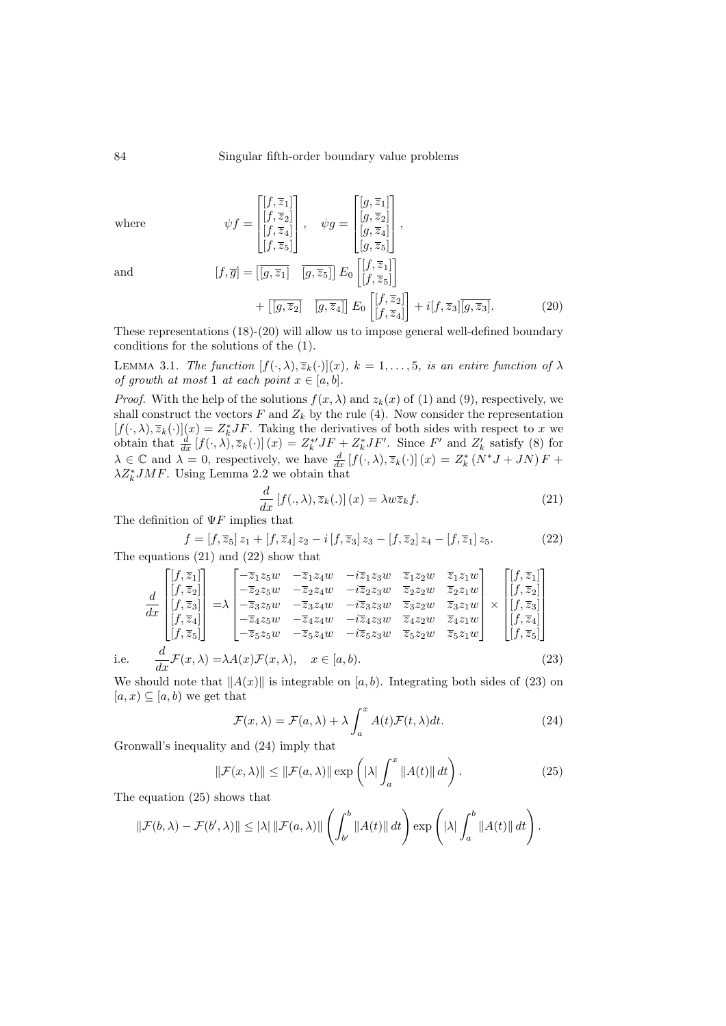where

$$
\psi f = \begin{bmatrix} [f, \overline{z}_1] \\ [f, \overline{z}_2] \\ [f, \overline{z}_4] \\ [f, \overline{z}_5] \end{bmatrix}, \quad \psi g = \begin{bmatrix} [g, \overline{z}_1] \\ [g, \overline{z}_2] \\ [g, \overline{z}_4] \\ [g, \overline{z}_5] \end{bmatrix},
$$

$$
[f, \overline{g}] = [\overline{[g, \overline{z}_1]} \quad \overline{[g, \overline{z}_5]} \quad \overline{[g, \overline{z}_5]} \quad E_0 \begin{bmatrix} [f, \overline{z}_1] \\ [f, \overline{z}_5] \end{bmatrix} + [\overline{[g, \overline{z}_2]} \quad \overline{[g, \overline{z}_4]} \quad E_0 \begin{bmatrix} [f, \overline{z}_2] \\ [f, \overline{z}_2] \end{bmatrix} + i[f, \overline{z}_3] \overline{[g, \overline{z}_3]}.
$$
(20)

and

i.e.

These representations 
$$
(18)-(20)
$$
 will allow us to impose general well-defined boundary conditions for the solutions of the  $(1)$ .

<span id="page-5-6"></span>LEMMA 3.1. The function  $[f(\cdot,\lambda),\overline{z}_k(\cdot)](x)$ ,  $k=1,\ldots,5$ , is an entire function of  $\lambda$ of growth at most 1 at each point  $x \in [a, b]$ .

*Proof.* With the help of the solutions  $f(x, \lambda)$  and  $z_k(x)$  of [\(1\)](#page-1-0) and [\(9\)](#page-3-0), respectively, we shall construct the vectors  $F$  and  $Z_k$  by the rule [\(4\)](#page-2-0). Now consider the representation  $[f(\cdot,\lambda),\overline{z}_k(\cdot)](x) = Z_k^* J F$ . Taking the derivatives of both sides with respect to x we obtain that  $\frac{d}{dx}[f(\cdot,\lambda),\overline{z}_k(\cdot)](x) = Z_k^{*'}JF + Z_k^{*}JF'$ . Since F' and  $Z'_k$  satisfy [\(8\)](#page-2-3) for  $\lambda \in \mathbb{C}$  and  $\lambda = 0$ , respectively, we have  $\frac{d}{dx} [f(\cdot, \lambda), \overline{z}_k(\cdot)] (x) = Z_k^* (N^* J + J N) F +$  $\lambda Z_k^* J M F$ . Using Lemma [2.2](#page-3-3) we obtain that

<span id="page-5-2"></span><span id="page-5-1"></span><span id="page-5-0"></span>
$$
\frac{d}{dx}[f(.,\lambda),\overline{z}_k(.)](x) = \lambda w \overline{z}_k f.
$$
\n(21)

The definition of  $\Psi F$  implies that

$$
f = [f, \overline{z}_5] z_1 + [f, \overline{z}_4] z_2 - i [f, \overline{z}_3] z_3 - [f, \overline{z}_2] z_4 - [f, \overline{z}_1] z_5.
$$
 (22)

The equations [\(21\)](#page-5-1) and [\(22\)](#page-5-2) show that

$$
\frac{d}{dx} \begin{bmatrix} [f, \overline{z}_1] \\ [f, \overline{z}_2] \\ [f, \overline{z}_3] \\ [f, \overline{z}_4] \\ [f, \overline{z}_5] \end{bmatrix} = \lambda \begin{bmatrix} -\overline{z}_1 z_5 w & -\overline{z}_1 z_4 w & -i \overline{z}_1 z_3 w & \overline{z}_1 z_2 w & \overline{z}_1 z_1 w \\ -\overline{z}_2 z_5 w & -\overline{z}_2 z_4 w & -i \overline{z}_2 z_3 w & \overline{z}_2 z_2 w & \overline{z}_2 z_1 w \\ -\overline{z}_3 z_5 w & -\overline{z}_3 z_4 w & -i \overline{z}_3 z_3 w & \overline{z}_3 z_2 w & \overline{z}_3 z_1 w \\ -\overline{z}_4 z_5 w & -\overline{z}_4 z_4 w & -i \overline{z}_4 z_3 w & \overline{z}_4 z_2 w & \overline{z}_4 z_1 w \\ -\overline{z}_5 z_5 w & -\overline{z}_5 z_4 w & -i \overline{z}_5 z_3 w & \overline{z}_5 z_2 w & \overline{z}_5 z_1 w \end{bmatrix} \times \begin{bmatrix} [f, \overline{z}_1] \\ [f, \overline{z}_2] \\ [f, \overline{z}_3] \\ [f, \overline{z}_4] \\ [f, \overline{z}_5] \end{bmatrix}
$$
\n
$$
\frac{d}{dx} \mathcal{F}(x, \lambda) = \lambda A(x) \mathcal{F}(x, \lambda), \quad x \in [a, b).
$$
\n(23)

We should note that  $||A(x)||$  is integrable on [a, b). Integrating both sides of [\(23\)](#page-5-3) on  $[a, x] \subseteq [a, b)$  we get that

<span id="page-5-5"></span><span id="page-5-4"></span><span id="page-5-3"></span>
$$
\mathcal{F}(x,\lambda) = \mathcal{F}(a,\lambda) + \lambda \int_{a}^{x} A(t)\mathcal{F}(t,\lambda)dt.
$$
 (24)

Gronwall's inequality and [\(24\)](#page-5-4) imply that

$$
\|\mathcal{F}(x,\lambda)\| \le \|\mathcal{F}(a,\lambda)\| \exp\left(|\lambda| \int_a^x \|A(t)\| \, dt\right). \tag{25}
$$

The equation [\(25\)](#page-5-5) shows that

$$
\|\mathcal{F}(b,\lambda)-\mathcal{F}(b',\lambda)\|\leq |\lambda| \|\mathcal{F}(a,\lambda)\| \left(\int_{b'}^b \|A(t)\| dt\right) \exp\left(|\lambda| \int_a^b \|A(t)\| dt\right).
$$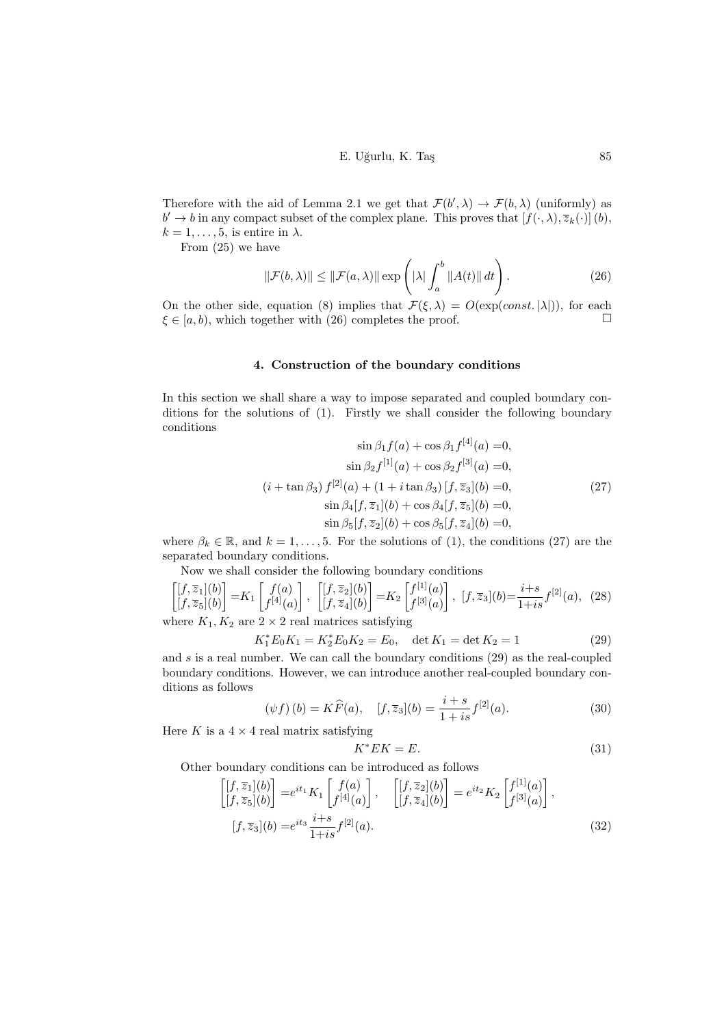<span id="page-6-0"></span>E. U˘gurlu, K. Ta¸s 85

Therefore with the aid of Lemma [2.1](#page-2-4) we get that  $\mathcal{F}(b', \lambda) \to \mathcal{F}(b, \lambda)$  (uniformly) as  $b' \to b$  in any compact subset of the complex plane. This proves that  $[f(\cdot,\lambda),\overline{z}_k(\cdot)](b)$ ,  $k = 1, \ldots, 5$ , is entire in  $\lambda$ .

From [\(25\)](#page-5-5) we have

$$
\|\mathcal{F}(b,\lambda)\| \le \|\mathcal{F}(a,\lambda)\| \exp\left(|\lambda| \int_a^b \|A(t)\| \, dt\right). \tag{26}
$$

On the other side, equation [\(8\)](#page-2-3) implies that  $\mathcal{F}(\xi,\lambda) = O(\exp(const.\vert\lambda\vert))$ , for each  $\xi \in [a, b)$ , which together with [\(26\)](#page-6-0) completes the proof.  $\Box$ 

## 4. Construction of the boundary conditions

In this section we shall share a way to impose separated and coupled boundary conditions for the solutions of [\(1\)](#page-1-0). Firstly we shall consider the following boundary conditions

<span id="page-6-1"></span>
$$
\sin \beta_1 f(a) + \cos \beta_1 f^{[4]}(a) = 0,
$$
  
\n
$$
\sin \beta_2 f^{[1]}(a) + \cos \beta_2 f^{[3]}(a) = 0,
$$
  
\n
$$
(i + \tan \beta_3) f^{[2]}(a) + (1 + i \tan \beta_3) [f, \overline{z}_3](b) = 0,
$$
  
\n
$$
\sin \beta_4 [f, \overline{z}_1](b) + \cos \beta_4 [f, \overline{z}_5](b) = 0,
$$
  
\n
$$
\sin \beta_5 [f, \overline{z}_2](b) + \cos \beta_5 [f, \overline{z}_4](b) = 0,
$$
\n(27)

where  $\beta_k \in \mathbb{R}$ , and  $k = 1, \ldots, 5$ . For the solutions of [\(1\)](#page-1-0), the conditions [\(27\)](#page-6-1) are the separated boundary conditions.

Now we shall consider the following boundary conditions

$$
\begin{bmatrix} [f,\overline{z}_1](b) \\ [f,\overline{z}_5](b) \end{bmatrix} = K_1 \begin{bmatrix} f(a) \\ f^{[4]}(a) \end{bmatrix}, \begin{bmatrix} [f,\overline{z}_2](b) \\ [f,\overline{z}_4](b) \end{bmatrix} = K_2 \begin{bmatrix} f^{[1]}(a) \\ f^{[3]}(a) \end{bmatrix}, [f,\overline{z}_3](b) = \frac{i+s}{1+is} f^{[2]}(a), (28)
$$
  
where  $K_1, K_2$  are 2 × 2 real matrices satisfying

where  $K_1, K_2$  are  $2 \times 2$  real matrices satisfying

$$
K_1^* E_0 K_1 = K_2^* E_0 K_2 = E_0, \quad \det K_1 = \det K_2 = 1
$$
 (29)

and  $s$  is a real number. We can call the boundary conditions  $(29)$  as the real-coupled boundary conditions. However, we can introduce another real-coupled boundary conditions as follows

$$
(\psi f)(b) = K\widehat{F}(a), \quad [f, \overline{z}_3](b) = \frac{i+s}{1+is} f^{[2]}(a). \tag{30}
$$

Here K is a  $4 \times 4$  real matrix satisfying

<span id="page-6-6"></span><span id="page-6-5"></span><span id="page-6-4"></span><span id="page-6-3"></span><span id="page-6-2"></span>
$$
K^*EK = E.\t\t(31)
$$

Other boundary conditions can be introduced as follows

$$
\begin{bmatrix} [f, \overline{z}_1](b) \\ [f, \overline{z}_5](b) \end{bmatrix} = e^{it_1} K_1 \begin{bmatrix} f(a) \\ f^{[4]}(a) \end{bmatrix}, \quad \begin{bmatrix} [f, \overline{z}_2](b) \\ [f, \overline{z}_4](b) \end{bmatrix} = e^{it_2} K_2 \begin{bmatrix} f^{[1]}(a) \\ f^{[3]}(a) \end{bmatrix},
$$

$$
[f, \overline{z}_3](b) = e^{it_3} \frac{i+s}{1+is} f^{[2]}(a).
$$
(32)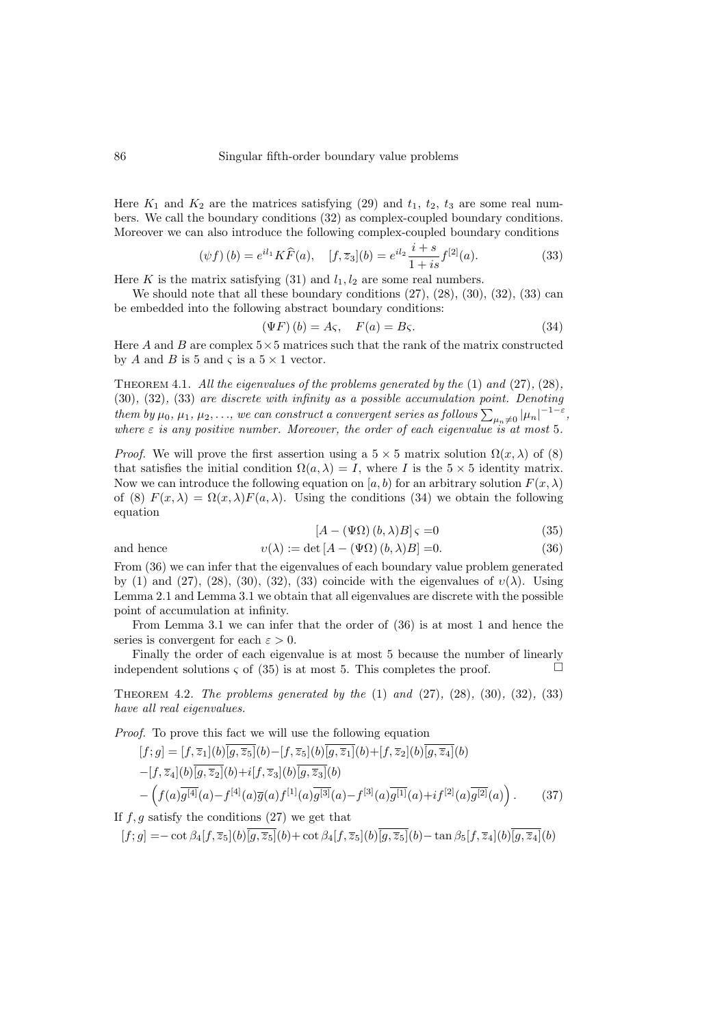Here  $K_1$  and  $K_2$  are the matrices satisfying [\(29\)](#page-6-2) and  $t_1$ ,  $t_2$ ,  $t_3$  are some real numbers. We call the boundary conditions [\(32\)](#page-6-3) as complex-coupled boundary conditions. Moreover we can also introduce the following complex-coupled boundary conditions

$$
(\psi f)(b) = e^{il_1} K \widehat{F}(a), \quad [f, \overline{z}_3](b) = e^{il_2} \frac{i+s}{1+is} f^{[2]}(a). \tag{33}
$$

Here K is the matrix satisfying [\(31\)](#page-6-4) and  $l_1, l_2$  are some real numbers.

We should note that all these boundary conditions  $(27)$ ,  $(28)$ ,  $(30)$ ,  $(32)$ ,  $(33)$  can be embedded into the following abstract boundary conditions:

<span id="page-7-1"></span><span id="page-7-0"></span>
$$
(\Psi F)(b) = A\varsigma, \quad F(a) = B\varsigma. \tag{34}
$$

Here A and B are complex  $5\times 5$  matrices such that the rank of the matrix constructed by A and B is 5 and  $\varsigma$  is a  $5 \times 1$  vector.

THEOREM 4.1. All the eigenvalues of the problems generated by the  $(1)$  and  $(27)$ ,  $(28)$ , [\(30\)](#page-6-6), [\(32\)](#page-6-3), [\(33\)](#page-7-0) are discrete with infinity as a possible accumulation point. Denoting them by  $\mu_0, \mu_1, \mu_2, \ldots$ , we can construct a convergent series as follows  $\sum_{\mu_n\neq 0}|\mu_n|^{-1-\varepsilon}$ , where  $\varepsilon$  is any positive number. Moreover, the order of each eigenvalue is at most 5.

*Proof.* We will prove the first assertion using a  $5 \times 5$  matrix solution  $\Omega(x, \lambda)$  of [\(8\)](#page-2-3) that satisfies the initial condition  $\Omega(a, \lambda) = I$ , where I is the 5 × 5 identity matrix. Now we can introduce the following equation on [a, b) for an arbitrary solution  $F(x, \lambda)$ of [\(8\)](#page-2-3)  $F(x, \lambda) = \Omega(x, \lambda) F(a, \lambda)$ . Using the conditions [\(34\)](#page-7-1) we obtain the following equation

<span id="page-7-4"></span><span id="page-7-3"></span><span id="page-7-2"></span>
$$
[A - (\Psi \Omega)(b, \lambda)B] \zeta = 0 \tag{35}
$$

$$
v(\lambda) := \det [A - (\Psi \Omega) (b, \lambda) B] = 0.
$$
 (36)

From [\(36\)](#page-7-2) we can infer that the eigenvalues of each boundary value problem generated by [\(1\)](#page-1-0) and [\(27\)](#page-6-1), [\(28\)](#page-6-5), [\(30\)](#page-6-6), [\(32\)](#page-6-3), [\(33\)](#page-7-0) coincide with the eigenvalues of  $v(\lambda)$ . Using Lemma [2.1](#page-2-4) and Lemma [3.1](#page-5-6) we obtain that all eigenvalues are discrete with the possible point of accumulation at infinity.

From Lemma [3.1](#page-5-6) we can infer that the order of [\(36\)](#page-7-2) is at most 1 and hence the series is convergent for each  $\varepsilon > 0$ .

Finally the order of each eigenvalue is at most 5 because the number of linearly independent solutions  $\varsigma$  of [\(35\)](#page-7-3) is at most 5. This completes the proof.

THEOREM 4.2. The problems generated by the  $(1)$  and  $(27)$ ,  $(28)$ ,  $(30)$ ,  $(32)$ ,  $(33)$ have all real eigenvalues.

Proof. To prove this fact we will use the following equation

$$
[f; g] = [f, \overline{z}_1](b)[g, \overline{z}_5](b) - [f, \overline{z}_5](b)[g, \overline{z}_1](b) + [f, \overline{z}_2](b)[g, \overline{z}_4](b) - [f, \overline{z}_4](b)[g, \overline{z}_2](b) + i[f, \overline{z}_3](b)[\overline{g, \overline{z}_3}](b) - \left(f(a)\overline{g^{[4]}}(a) - f^{[4]}(a)\overline{g}(a)f^{[1]}(a)\overline{g^{[3]}}(a) - f^{[3]}(a)\overline{g^{[1]}}(a) + if^{[2]}(a)\overline{g^{[2]}}(a)\right).
$$
 (37)

If  $f, q$  satisfy the conditions  $(27)$  we get that

 $[f; g] = -\cot \beta_4[f; \overline{z}_5](b) \overline{[g; \overline{z}_5]}(b) + \cot \beta_4[f; \overline{z}_5](b) \overline{[g; \overline{z}_5]}(b) - \tan \beta_5[f; \overline{z}_4](b) \overline{[g; \overline{z}_4]}(b)$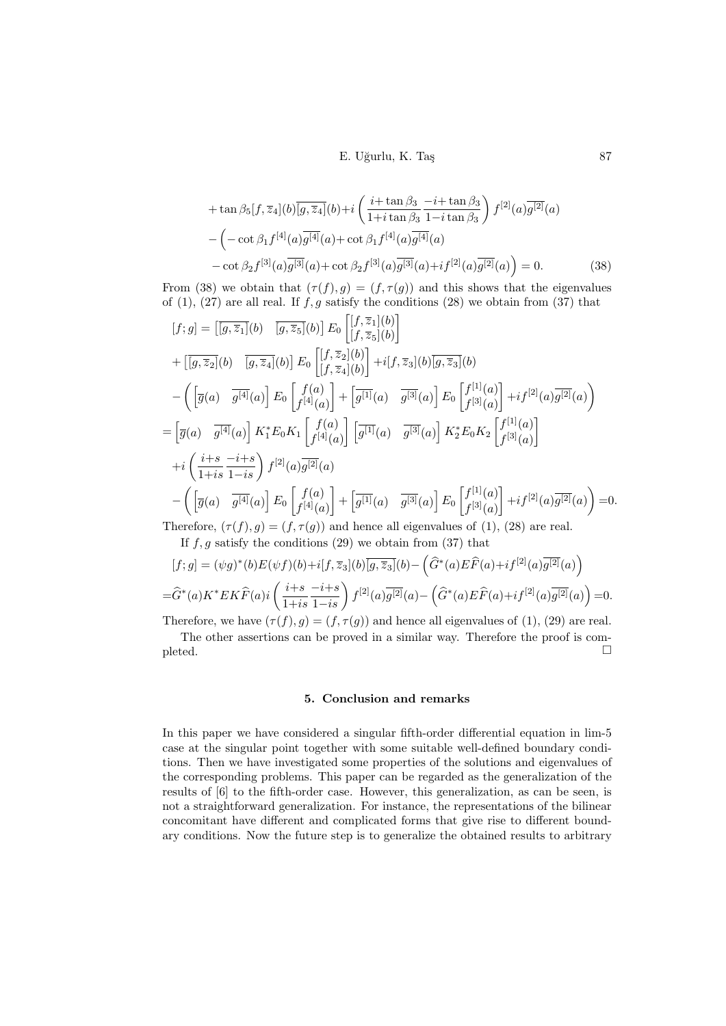<span id="page-8-0"></span>E. Uğurlu, K. Taş 87

$$
+\tan\beta_5[f,\overline{z}_4](b)[\overline{g},\overline{z}_4](b)+i\left(\frac{i+\tan\beta_3}{1+i\tan\beta_3}\frac{-i+\tan\beta_3}{1-i\tan\beta_3}\right)f^{[2]}(a)\overline{g^{[2]}}(a) -\left(-\cot\beta_1f^{[4]}(a)\overline{g^{[4]}}(a)+\cot\beta_1f^{[4]}(a)\overline{g^{[4]}}(a)\right) -\cot\beta_2f^{[3]}(a)\overline{g^{[3]}}(a)+\cot\beta_2f^{[3]}(a)\overline{g^{[3]}}(a)+if^{[2]}(a)\overline{g^{[2]}}(a)\right)=0.
$$
 (38)

From [\(38\)](#page-8-0) we obtain that  $(\tau(f), g) = (f, \tau(g))$  and this shows that the eigenvalues of [\(1\)](#page-1-0), [\(27\)](#page-6-1) are all real. If  $f, g$  satisfy the conditions [\(28\)](#page-6-5) we obtain from [\(37\)](#page-7-4) that

$$
[f; g] = \left[\overline{[g, \overline{z}_1]}(b) - \overline{[g, \overline{z}_5]}(b)\right] E_0 \left[\overline{[f, \overline{z}_1]}(b)\right]
$$
  
+ 
$$
\left[\overline{[g, \overline{z}_2]}(b) - \overline{[g, \overline{z}_4]}(b)\right] E_0 \left[\overline{[f, \overline{z}_2]}(b)\right] + i[f, \overline{z}_3](b) \overline{[g, \overline{z}_3]}(b)
$$
  
- 
$$
\left(\left[\overline{g}(a) - \overline{g^{[4]}}(a)\right] E_0 \left[\overline{f^{[4]}}(a)\right] + \left[\overline{g^{[1]}}(a) - \overline{g^{[3]}}(a)\right] E_0 \left[\overline{f^{[1]}}(a)\right] + i f^{[2]}(a) \overline{g^{[2]}}(a)\right)
$$
  
= 
$$
\left[\overline{g}(a) - \overline{g^{[4]}}(a)\right] K_1^* E_0 K_1 \left[\overline{f^{[4]}}(a)\right] \left[\overline{g^{[1]}}(a) - \overline{g^{[3]}}(a)\right] K_2^* E_0 K_2 \left[\overline{f^{[1]}}(a)\right]
$$
  
+ 
$$
i \left(\frac{i+s}{1+is} \frac{-i+s}{1-is}\right) f^{[2]}(a) \overline{g^{[2]}}(a)
$$
  
- 
$$
\left(\left[\overline{g}(a) - \overline{g^{[4]}}(a)\right] E_0 \left[\overline{f^{[4]}}(a)\right] + \left[\overline{g^{[1]}}(a) - \overline{g^{[3]}}(a)\right] E_0 \left[\overline{f^{[1]}}(a)\right] + i f^{[2]}(a) \overline{g^{[2]}}(a)\right) = 0.
$$
  
Therefore, 
$$
f(f, g) = \left(f(g, g) - \left(\overline{f}(g, g) - \overline{f(g, g)}\right) + i \overline{g(g, g)} \left[\overline{f(g, g)}\right] + i f^{[2]}(a) \overline{g^{[2]}}(a)\right) = 0.
$$

Therefore,  $(\tau(f), g) = (f, \tau(g))$  and hence all eigenvalues of [\(1\)](#page-1-0), [\(28\)](#page-6-5) are real.

If  $f, g$  satisfy the conditions [\(29\)](#page-6-2) we obtain from [\(37\)](#page-7-4) that  $\lambda$ 

$$
[f;g] = (\psi g)^*(b)E(\psi f)(b) + i[f, \overline{z}_3](b)\overline{[g, \overline{z}_3]}(b) - (\widehat{G}^*(a)E\widehat{F}(a) + if^{[2]}(a)\overline{g^{[2]}}(a))
$$
  
= $\widehat{G}^*(a)K^*EK\widehat{F}(a)i\left(\frac{i+s}{1+is}\frac{-i+s}{1-is}\right)f^{[2]}(a)\overline{g^{[2]}}(a) - (\widehat{G}^*(a)E\widehat{F}(a) + if^{[2]}(a)\overline{g^{[2]}}(a)) = 0.$ 

Therefore, we have  $(\tau(f), g) = (f, \tau(g))$  and hence all eigenvalues of  $(1), (29)$  $(1), (29)$  $(1), (29)$  are real.

The other assertions can be proved in a similar way. Therefore the proof is completed.  $\Box$ 

## 5. Conclusion and remarks

In this paper we have considered a singular fifth-order differential equation in lim-5 case at the singular point together with some suitable well-defined boundary conditions. Then we have investigated some properties of the solutions and eigenvalues of the corresponding problems. This paper can be regarded as the generalization of the results of [\[6\]](#page-9-2) to the fifth-order case. However, this generalization, as can be seen, is not a straightforward generalization. For instance, the representations of the bilinear concomitant have different and complicated forms that give rise to different boundary conditions. Now the future step is to generalize the obtained results to arbitrary